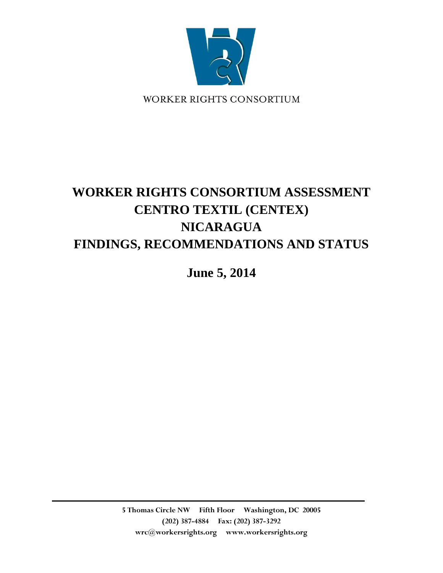

# **WORKER RIGHTS CONSORTIUM ASSESSMENT CENTRO TEXTIL (CENTEX) NICARAGUA FINDINGS, RECOMMENDATIONS AND STATUS**

**June 5, 2014**

**5 Thomas Circle NW Fifth Floor Washington, DC 20005 (202) 387-4884 Fax: (202) 387-3292 wrc@workersrights.org www.workersrights.org**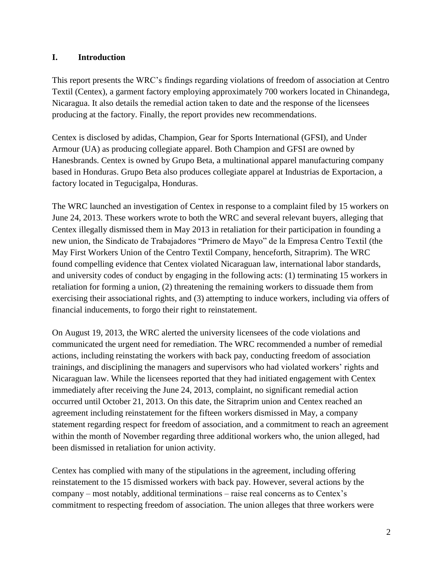#### **I. Introduction**

This report presents the WRC's findings regarding violations of freedom of association at Centro Textil (Centex), a garment factory employing approximately 700 workers located in Chinandega, Nicaragua. It also details the remedial action taken to date and the response of the licensees producing at the factory. Finally, the report provides new recommendations.

Centex is disclosed by adidas, Champion, Gear for Sports International (GFSI), and Under Armour (UA) as producing collegiate apparel. Both Champion and GFSI are owned by Hanesbrands. Centex is owned by Grupo Beta, a multinational apparel manufacturing company based in Honduras. Grupo Beta also produces collegiate apparel at Industrias de Exportacion, a factory located in Tegucigalpa, Honduras.

The WRC launched an investigation of Centex in response to a complaint filed by 15 workers on June 24, 2013. These workers wrote to both the WRC and several relevant buyers, alleging that Centex illegally dismissed them in May 2013 in retaliation for their participation in founding a new union, the Sindicato de Trabajadores "Primero de Mayo" de la Empresa Centro Textil (the May First Workers Union of the Centro Textil Company, henceforth, Sitraprim). The WRC found compelling evidence that Centex violated Nicaraguan law, international labor standards, and university codes of conduct by engaging in the following acts: (1) terminating 15 workers in retaliation for forming a union, (2) threatening the remaining workers to dissuade them from exercising their associational rights, and (3) attempting to induce workers, including via offers of financial inducements, to forgo their right to reinstatement.

On August 19, 2013, the WRC alerted the university licensees of the code violations and communicated the urgent need for remediation. The WRC recommended a number of remedial actions, including reinstating the workers with back pay, conducting freedom of association trainings, and disciplining the managers and supervisors who had violated workers' rights and Nicaraguan law. While the licensees reported that they had initiated engagement with Centex immediately after receiving the June 24, 2013, complaint, no significant remedial action occurred until October 21, 2013. On this date, the Sitraprim union and Centex reached an agreement including reinstatement for the fifteen workers dismissed in May, a company statement regarding respect for freedom of association, and a commitment to reach an agreement within the month of November regarding three additional workers who, the union alleged, had been dismissed in retaliation for union activity.

Centex has complied with many of the stipulations in the agreement, including offering reinstatement to the 15 dismissed workers with back pay. However, several actions by the company – most notably, additional terminations – raise real concerns as to Centex's commitment to respecting freedom of association. The union alleges that three workers were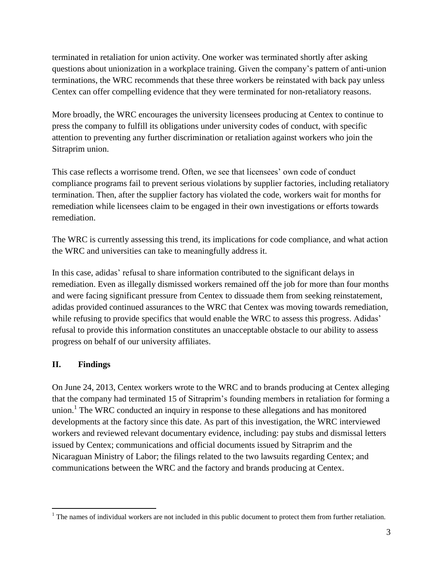terminated in retaliation for union activity. One worker was terminated shortly after asking questions about unionization in a workplace training. Given the company's pattern of anti-union terminations, the WRC recommends that these three workers be reinstated with back pay unless Centex can offer compelling evidence that they were terminated for non-retaliatory reasons.

More broadly, the WRC encourages the university licensees producing at Centex to continue to press the company to fulfill its obligations under university codes of conduct, with specific attention to preventing any further discrimination or retaliation against workers who join the Sitraprim union.

This case reflects a worrisome trend. Often, we see that licensees' own code of conduct compliance programs fail to prevent serious violations by supplier factories, including retaliatory termination. Then, after the supplier factory has violated the code, workers wait for months for remediation while licensees claim to be engaged in their own investigations or efforts towards remediation.

The WRC is currently assessing this trend, its implications for code compliance, and what action the WRC and universities can take to meaningfully address it.

In this case, adidas' refusal to share information contributed to the significant delays in remediation. Even as illegally dismissed workers remained off the job for more than four months and were facing significant pressure from Centex to dissuade them from seeking reinstatement, adidas provided continued assurances to the WRC that Centex was moving towards remediation, while refusing to provide specifics that would enable the WRC to assess this progress. Adidas' refusal to provide this information constitutes an unacceptable obstacle to our ability to assess progress on behalf of our university affiliates.

## **II. Findings**

 $\overline{a}$ 

On June 24, 2013, Centex workers wrote to the WRC and to brands producing at Centex alleging that the company had terminated 15 of Sitraprim's founding members in retaliation for forming a union.<sup>1</sup> The WRC conducted an inquiry in response to these allegations and has monitored developments at the factory since this date. As part of this investigation, the WRC interviewed workers and reviewed relevant documentary evidence, including: pay stubs and dismissal letters issued by Centex; communications and official documents issued by Sitraprim and the Nicaraguan Ministry of Labor; the filings related to the two lawsuits regarding Centex; and communications between the WRC and the factory and brands producing at Centex.

 $1$  The names of individual workers are not included in this public document to protect them from further retaliation.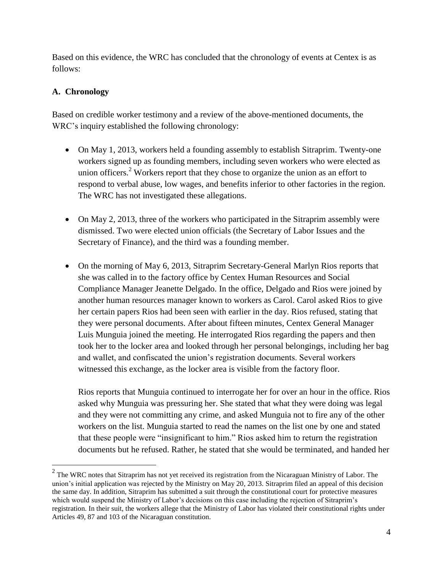Based on this evidence, the WRC has concluded that the chronology of events at Centex is as follows:

#### **A. Chronology**

 $\overline{a}$ 

Based on credible worker testimony and a review of the above-mentioned documents, the WRC's inquiry established the following chronology:

- On May 1, 2013, workers held a founding assembly to establish Sitraprim. Twenty-one workers signed up as founding members, including seven workers who were elected as union officers.<sup>2</sup> Workers report that they chose to organize the union as an effort to respond to verbal abuse, low wages, and benefits inferior to other factories in the region. The WRC has not investigated these allegations.
- On May 2, 2013, three of the workers who participated in the Sitraprim assembly were dismissed. Two were elected union officials (the Secretary of Labor Issues and the Secretary of Finance), and the third was a founding member.
- On the morning of May 6, 2013, Sitraprim Secretary-General Marlyn Rios reports that she was called in to the factory office by Centex Human Resources and Social Compliance Manager Jeanette Delgado. In the office, Delgado and Rios were joined by another human resources manager known to workers as Carol. Carol asked Rios to give her certain papers Rios had been seen with earlier in the day. Rios refused, stating that they were personal documents. After about fifteen minutes, Centex General Manager Luis Munguia joined the meeting. He interrogated Rios regarding the papers and then took her to the locker area and looked through her personal belongings, including her bag and wallet, and confiscated the union's registration documents. Several workers witnessed this exchange, as the locker area is visible from the factory floor.

Rios reports that Munguia continued to interrogate her for over an hour in the office. Rios asked why Munguia was pressuring her. She stated that what they were doing was legal and they were not committing any crime, and asked Munguia not to fire any of the other workers on the list. Munguia started to read the names on the list one by one and stated that these people were "insignificant to him." Rios asked him to return the registration documents but he refused. Rather, he stated that she would be terminated, and handed her

 $2$  The WRC notes that Sitraprim has not yet received its registration from the Nicaraguan Ministry of Labor. The union's initial application was rejected by the Ministry on May 20, 2013. Sitraprim filed an appeal of this decision the same day. In addition, Sitraprim has submitted a suit through the constitutional court for protective measures which would suspend the Ministry of Labor's decisions on this case including the rejection of Sitraprim's registration. In their suit, the workers allege that the Ministry of Labor has violated their constitutional rights under Articles 49, 87 and 103 of the Nicaraguan constitution.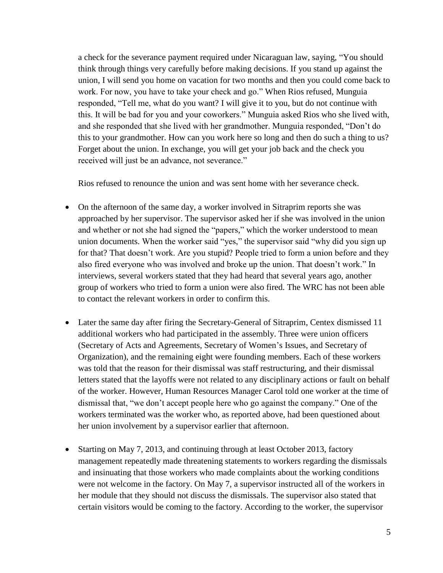a check for the severance payment required under Nicaraguan law, saying, "You should think through things very carefully before making decisions. If you stand up against the union, I will send you home on vacation for two months and then you could come back to work. For now, you have to take your check and go." When Rios refused, Munguia responded, "Tell me, what do you want? I will give it to you, but do not continue with this. It will be bad for you and your coworkers." Munguia asked Rios who she lived with, and she responded that she lived with her grandmother. Munguia responded, "Don't do this to your grandmother. How can you work here so long and then do such a thing to us? Forget about the union. In exchange, you will get your job back and the check you received will just be an advance, not severance."

Rios refused to renounce the union and was sent home with her severance check.

- On the afternoon of the same day, a worker involved in Sitraprim reports she was approached by her supervisor. The supervisor asked her if she was involved in the union and whether or not she had signed the "papers," which the worker understood to mean union documents. When the worker said "yes," the supervisor said "why did you sign up for that? That doesn't work. Are you stupid? People tried to form a union before and they also fired everyone who was involved and broke up the union. That doesn't work." In interviews, several workers stated that they had heard that several years ago, another group of workers who tried to form a union were also fired. The WRC has not been able to contact the relevant workers in order to confirm this.
- Later the same day after firing the Secretary-General of Sitraprim, Centex dismissed 11 additional workers who had participated in the assembly. Three were union officers (Secretary of Acts and Agreements, Secretary of Women's Issues, and Secretary of Organization), and the remaining eight were founding members. Each of these workers was told that the reason for their dismissal was staff restructuring, and their dismissal letters stated that the layoffs were not related to any disciplinary actions or fault on behalf of the worker. However, Human Resources Manager Carol told one worker at the time of dismissal that, "we don't accept people here who go against the company." One of the workers terminated was the worker who, as reported above, had been questioned about her union involvement by a supervisor earlier that afternoon.
- Starting on May 7, 2013, and continuing through at least October 2013, factory management repeatedly made threatening statements to workers regarding the dismissals and insinuating that those workers who made complaints about the working conditions were not welcome in the factory. On May 7, a supervisor instructed all of the workers in her module that they should not discuss the dismissals. The supervisor also stated that certain visitors would be coming to the factory. According to the worker, the supervisor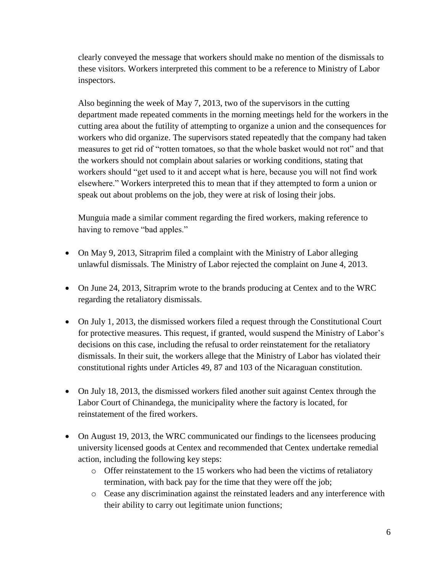clearly conveyed the message that workers should make no mention of the dismissals to these visitors. Workers interpreted this comment to be a reference to Ministry of Labor inspectors.

Also beginning the week of May 7, 2013, two of the supervisors in the cutting department made repeated comments in the morning meetings held for the workers in the cutting area about the futility of attempting to organize a union and the consequences for workers who did organize. The supervisors stated repeatedly that the company had taken measures to get rid of "rotten tomatoes, so that the whole basket would not rot" and that the workers should not complain about salaries or working conditions, stating that workers should "get used to it and accept what is here, because you will not find work elsewhere." Workers interpreted this to mean that if they attempted to form a union or speak out about problems on the job, they were at risk of losing their jobs.

Munguia made a similar comment regarding the fired workers, making reference to having to remove "bad apples."

- On May 9, 2013, Sitraprim filed a complaint with the Ministry of Labor alleging unlawful dismissals. The Ministry of Labor rejected the complaint on June 4, 2013.
- On June 24, 2013, Sitraprim wrote to the brands producing at Centex and to the WRC regarding the retaliatory dismissals.
- On July 1, 2013, the dismissed workers filed a request through the Constitutional Court for protective measures. This request, if granted, would suspend the Ministry of Labor's decisions on this case, including the refusal to order reinstatement for the retaliatory dismissals. In their suit, the workers allege that the Ministry of Labor has violated their constitutional rights under Articles 49, 87 and 103 of the Nicaraguan constitution.
- On July 18, 2013, the dismissed workers filed another suit against Centex through the Labor Court of Chinandega, the municipality where the factory is located, for reinstatement of the fired workers.
- On August 19, 2013, the WRC communicated our findings to the licensees producing university licensed goods at Centex and recommended that Centex undertake remedial action, including the following key steps:
	- $\circ$  Offer reinstatement to the 15 workers who had been the victims of retaliatory termination, with back pay for the time that they were off the job;
	- o Cease any discrimination against the reinstated leaders and any interference with their ability to carry out legitimate union functions;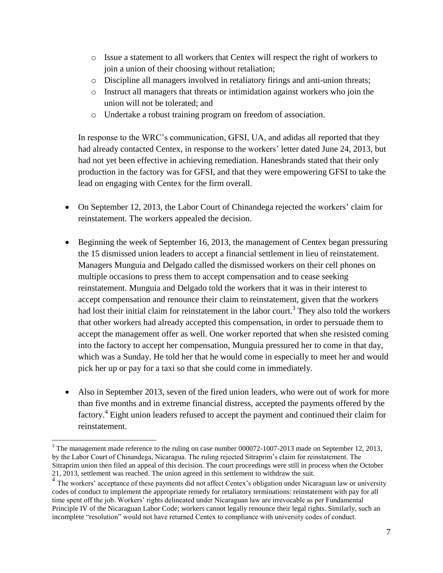- o Issue a statement to all workers that Centex will respect the right of workers to join a union of their choosing without retaliation;
- o Discipline all managers involved in retaliatory firings and anti-union threats;
- o Instruct all managers that threats or intimidation against workers who join the union will not be tolerated; and
- o Undertake a robust training program on freedom of association.

In response to the WRC's communication, GFSI, UA, and adidas all reported that they had already contacted Centex, in response to the workers' letter dated June 24, 2013, but had not yet been effective in achieving remediation. Hanesbrands stated that their only production in the factory was for GFSI, and that they were empowering GFSI to take the lead on engaging with Centex for the firm overall.

- On September 12, 2013, the Labor Court of Chinandega rejected the workers' claim for reinstatement. The workers appealed the decision.
- Beginning the week of September 16, 2013, the management of Centex began pressuring the 15 dismissed union leaders to accept a financial settlement in lieu of reinstatement. Managers Munguia and Delgado called the dismissed workers on their cell phones on multiple occasions to press them to accept compensation and to cease seeking reinstatement. Munguia and Delgado told the workers that it was in their interest to accept compensation and renounce their claim to reinstatement, given that the workers had lost their initial claim for reinstatement in the labor court.<sup>3</sup> They also told the workers that other workers had already accepted this compensation, in order to persuade them to accept the management offer as well. One worker reported that when she resisted coming into the factory to accept her compensation, Munguia pressured her to come in that day, which was a Sunday. He told her that he would come in especially to meet her and would pick her up or pay for a taxi so that she could come in immediately.
- Also in September 2013, seven of the fired union leaders, who were out of work for more than five months and in extreme financial distress, accepted the payments offered by the factory.<sup>4</sup> Eight union leaders refused to accept the payment and continued their claim for reinstatement.

 $\overline{a}$ 

<sup>&</sup>lt;sup>3</sup> The management made reference to the ruling on case number 000072-1007-2013 made on September 12, 2013, by the Labor Court of Chinandega, Nicaragua. The ruling rejected Sitraprim's claim for reinstatement. The Sitraprim union then filed an appeal of this decision. The court proceedings were still in process when the October 21, 2013, settlement was reached. The union agreed in this settlement to withdraw the suit.

<sup>&</sup>lt;sup>4</sup> The workers' acceptance of these payments did not affect Centex's obligation under Nicaraguan law or university codes of conduct to implement the appropriate remedy for retaliatory terminations: reinstatement with pay for all time spent off the job. Workers' rights delineated under Nicaraguan law are irrevocable as per Fundamental Principle IV of the Nicaraguan Labor Code; workers cannot legally renounce their legal rights. Similarly, such an incomplete "resolution" would not have returned Centex to compliance with university codes of conduct.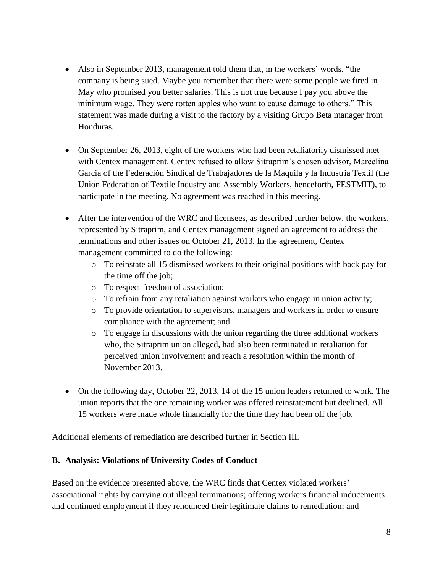- Also in September 2013, management told them that, in the workers' words, "the company is being sued. Maybe you remember that there were some people we fired in May who promised you better salaries. This is not true because I pay you above the minimum wage. They were rotten apples who want to cause damage to others." This statement was made during a visit to the factory by a visiting Grupo Beta manager from Honduras.
- On September 26, 2013, eight of the workers who had been retaliatorily dismissed met with Centex management. Centex refused to allow Sitraprim's chosen advisor, Marcelina Garcia of the Federación Sindical de Trabajadores de la Maquila y la Industria Textil (the Union Federation of Textile Industry and Assembly Workers, henceforth, FESTMIT), to participate in the meeting. No agreement was reached in this meeting.
- After the intervention of the WRC and licensees, as described further below, the workers, represented by Sitraprim, and Centex management signed an agreement to address the terminations and other issues on October 21, 2013. In the agreement, Centex management committed to do the following:
	- o To reinstate all 15 dismissed workers to their original positions with back pay for the time off the job;
	- o To respect freedom of association;
	- o To refrain from any retaliation against workers who engage in union activity;
	- o To provide orientation to supervisors, managers and workers in order to ensure compliance with the agreement; and
	- o To engage in discussions with the union regarding the three additional workers who, the Sitraprim union alleged, had also been terminated in retaliation for perceived union involvement and reach a resolution within the month of November 2013.
- On the following day, October 22, 2013, 14 of the 15 union leaders returned to work. The union reports that the one remaining worker was offered reinstatement but declined. All 15 workers were made whole financially for the time they had been off the job.

Additional elements of remediation are described further in Section III.

#### **B. Analysis: Violations of University Codes of Conduct**

Based on the evidence presented above, the WRC finds that Centex violated workers' associational rights by carrying out illegal terminations; offering workers financial inducements and continued employment if they renounced their legitimate claims to remediation; and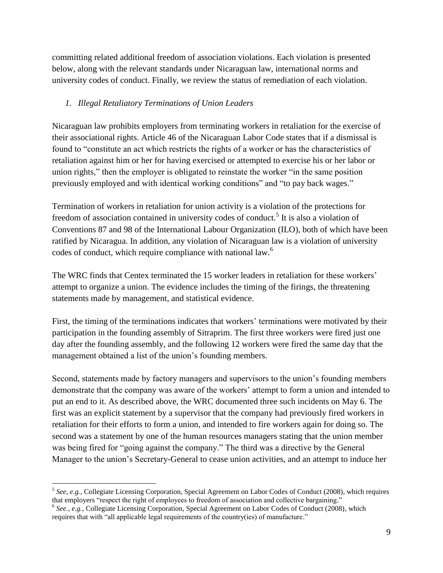committing related additional freedom of association violations. Each violation is presented below, along with the relevant standards under Nicaraguan law, international norms and university codes of conduct. Finally, we review the status of remediation of each violation.

#### *1. Illegal Retaliatory Terminations of Union Leaders*

Nicaraguan law prohibits employers from terminating workers in retaliation for the exercise of their associational rights. Article 46 of the Nicaraguan Labor Code states that if a dismissal is found to "constitute an act which restricts the rights of a worker or has the characteristics of retaliation against him or her for having exercised or attempted to exercise his or her labor or union rights," then the employer is obligated to reinstate the worker "in the same position previously employed and with identical working conditions" and "to pay back wages."

Termination of workers in retaliation for union activity is a violation of the protections for freedom of association contained in university codes of conduct.<sup>5</sup> It is also a violation of Conventions 87 and 98 of the International Labour Organization (ILO), both of which have been ratified by Nicaragua. In addition, any violation of Nicaraguan law is a violation of university codes of conduct, which require compliance with national law.<sup>6</sup>

The WRC finds that Centex terminated the 15 worker leaders in retaliation for these workers' attempt to organize a union. The evidence includes the timing of the firings, the threatening statements made by management, and statistical evidence.

First, the timing of the terminations indicates that workers' terminations were motivated by their participation in the founding assembly of Sitraprim. The first three workers were fired just one day after the founding assembly, and the following 12 workers were fired the same day that the management obtained a list of the union's founding members.

Second, statements made by factory managers and supervisors to the union's founding members demonstrate that the company was aware of the workers' attempt to form a union and intended to put an end to it. As described above, the WRC documented three such incidents on May 6. The first was an explicit statement by a supervisor that the company had previously fired workers in retaliation for their efforts to form a union, and intended to fire workers again for doing so. The second was a statement by one of the human resources managers stating that the union member was being fired for "going against the company." The third was a directive by the General Manager to the union's Secretary-General to cease union activities, and an attempt to induce her

 $\overline{a}$ 

<sup>5</sup> *See, e.g.,* Collegiate Licensing Corporation, Special Agreement on Labor Codes of Conduct (2008), which requires that employers "respect the right of employees to freedom of association and collective bargaining."

<sup>&</sup>lt;sup>6</sup> See., e.g., Collegiate Licensing Corporation, Special Agreement on Labor Codes of Conduct (2008), which requires that with "all applicable legal requirements of the country(ies) of manufacture."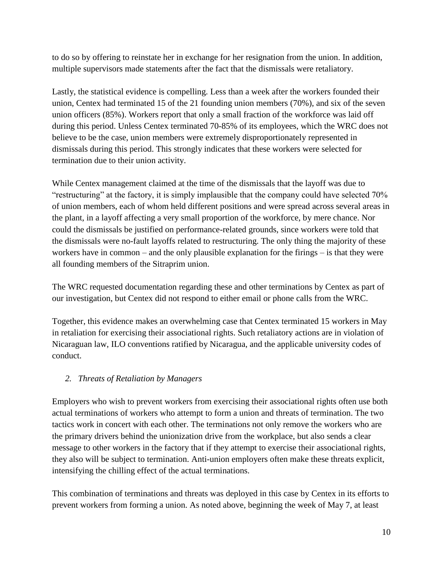to do so by offering to reinstate her in exchange for her resignation from the union. In addition, multiple supervisors made statements after the fact that the dismissals were retaliatory.

Lastly, the statistical evidence is compelling. Less than a week after the workers founded their union, Centex had terminated 15 of the 21 founding union members (70%), and six of the seven union officers (85%). Workers report that only a small fraction of the workforce was laid off during this period. Unless Centex terminated 70-85% of its employees, which the WRC does not believe to be the case, union members were extremely disproportionately represented in dismissals during this period. This strongly indicates that these workers were selected for termination due to their union activity.

While Centex management claimed at the time of the dismissals that the layoff was due to "restructuring" at the factory, it is simply implausible that the company could have selected 70% of union members, each of whom held different positions and were spread across several areas in the plant, in a layoff affecting a very small proportion of the workforce, by mere chance. Nor could the dismissals be justified on performance-related grounds, since workers were told that the dismissals were no-fault layoffs related to restructuring. The only thing the majority of these workers have in common – and the only plausible explanation for the firings – is that they were all founding members of the Sitraprim union.

The WRC requested documentation regarding these and other terminations by Centex as part of our investigation, but Centex did not respond to either email or phone calls from the WRC.

Together, this evidence makes an overwhelming case that Centex terminated 15 workers in May in retaliation for exercising their associational rights. Such retaliatory actions are in violation of Nicaraguan law, ILO conventions ratified by Nicaragua, and the applicable university codes of conduct.

## *2. Threats of Retaliation by Managers*

Employers who wish to prevent workers from exercising their associational rights often use both actual terminations of workers who attempt to form a union and threats of termination. The two tactics work in concert with each other. The terminations not only remove the workers who are the primary drivers behind the unionization drive from the workplace, but also sends a clear message to other workers in the factory that if they attempt to exercise their associational rights, they also will be subject to termination. Anti-union employers often make these threats explicit, intensifying the chilling effect of the actual terminations.

This combination of terminations and threats was deployed in this case by Centex in its efforts to prevent workers from forming a union. As noted above, beginning the week of May 7, at least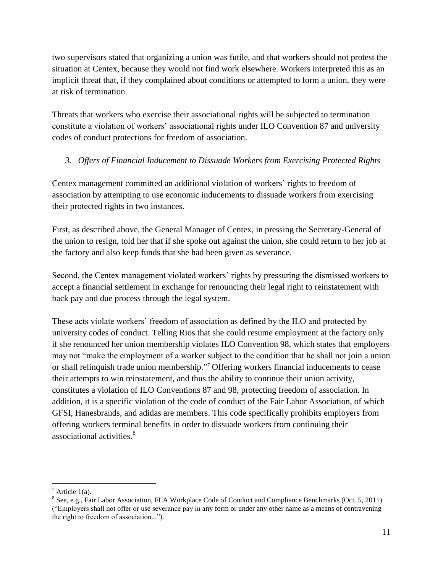two supervisors stated that organizing a union was futile, and that workers should not protest the situation at Centex, because they would not find work elsewhere. Workers interpreted this as an implicit threat that, if they complained about conditions or attempted to form a union, they were at risk of termination.

Threats that workers who exercise their associational rights will be subjected to termination constitute a violation of workers' associational rights under ILO Convention 87 and university codes of conduct protections for freedom of association.

# *3. Offers of Financial Inducement to Dissuade Workers from Exercising Protected Rights*

Centex management committed an additional violation of workers' rights to freedom of association by attempting to use economic inducements to dissuade workers from exercising their protected rights in two instances.

First, as described above, the General Manager of Centex, in pressing the Secretary-General of the union to resign, told her that if she spoke out against the union, she could return to her job at the factory and also keep funds that she had been given as severance.

Second, the Centex management violated workers' rights by pressuring the dismissed workers to accept a financial settlement in exchange for renouncing their legal right to reinstatement with back pay and due process through the legal system.

These acts violate workers' freedom of association as defined by the ILO and protected by university codes of conduct. Telling Rios that she could resume employment at the factory only if she renounced her union membership violates ILO Convention 98, which states that employers may not "make the employment of a worker subject to the condition that he shall not join a union or shall relinquish trade union membership." <sup>7</sup> Offering workers financial inducements to cease their attempts to win reinstatement, and thus the ability to continue their union activity, constitutes a violation of ILO Conventions 87 and 98, protecting freedom of association. In addition, it is a specific violation of the code of conduct of the Fair Labor Association, of which GFSI, Hanesbrands, and adidas are members. This code specifically prohibits employers from offering workers terminal benefits in order to dissuade workers from continuing their associational activities.<sup>8</sup>

 $\overline{a}$ 

 $^7$  Article 1(a).

<sup>&</sup>lt;sup>8</sup> See, e.g., Fair Labor Association, FLA Workplace Code of Conduct and Compliance Benchmarks (Oct. 5, 2011) ("Employers shall not offer or use severance pay in any form or under any other name as a means of contravening the right to freedom of association...").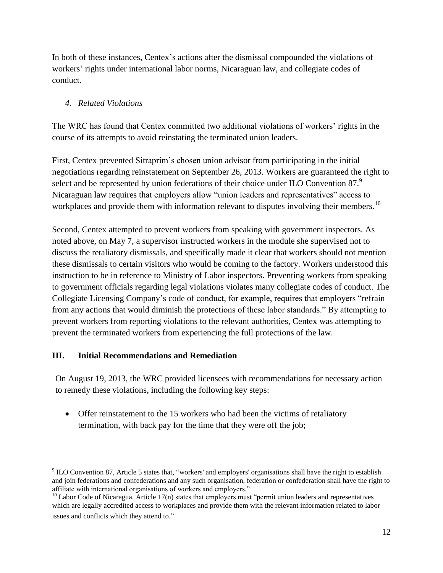In both of these instances, Centex's actions after the dismissal compounded the violations of workers' rights under international labor norms, Nicaraguan law, and collegiate codes of conduct.

## *4. Related Violations*

The WRC has found that Centex committed two additional violations of workers' rights in the course of its attempts to avoid reinstating the terminated union leaders.

First, Centex prevented Sitraprim's chosen union advisor from participating in the initial negotiations regarding reinstatement on September 26, 2013. Workers are guaranteed the right to select and be represented by union federations of their choice under ILO Convention  $87$ . Nicaraguan law requires that employers allow "union leaders and representatives" access to workplaces and provide them with information relevant to disputes involving their members.<sup>10</sup>

Second, Centex attempted to prevent workers from speaking with government inspectors. As noted above, on May 7, a supervisor instructed workers in the module she supervised not to discuss the retaliatory dismissals, and specifically made it clear that workers should not mention these dismissals to certain visitors who would be coming to the factory. Workers understood this instruction to be in reference to Ministry of Labor inspectors. Preventing workers from speaking to government officials regarding legal violations violates many collegiate codes of conduct. The Collegiate Licensing Company's code of conduct, for example, requires that employers "refrain from any actions that would diminish the protections of these labor standards." By attempting to prevent workers from reporting violations to the relevant authorities, Centex was attempting to prevent the terminated workers from experiencing the full protections of the law.

## **III. Initial Recommendations and Remediation**

 $\overline{a}$ 

On August 19, 2013, the WRC provided licensees with recommendations for necessary action to remedy these violations, including the following key steps:

• Offer reinstatement to the 15 workers who had been the victims of retaliatory termination, with back pay for the time that they were off the job;

 $9 \text{ ILO}$  Convention 87, Article 5 states that, "workers' and employers' organisations shall have the right to establish and join federations and confederations and any such organisation, federation or confederation shall have the right to affiliate with international organisations of workers and employers."

 $10$  Labor Code of Nicaragua. Article 17(n) states that employers must "permit union leaders and representatives which are legally accredited access to workplaces and provide them with the relevant information related to labor issues and conflicts which they attend to."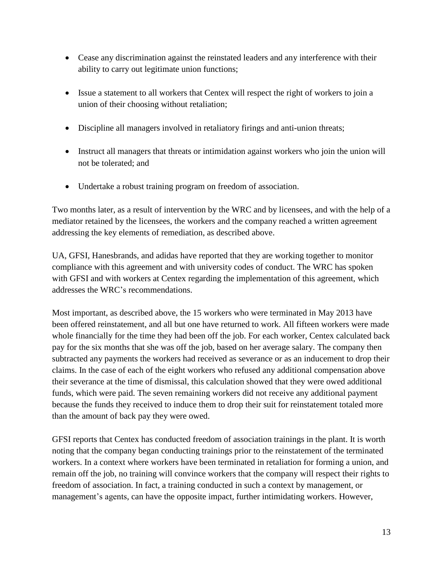- Cease any discrimination against the reinstated leaders and any interference with their ability to carry out legitimate union functions;
- Issue a statement to all workers that Centex will respect the right of workers to join a union of their choosing without retaliation;
- Discipline all managers involved in retaliatory firings and anti-union threats;
- Instruct all managers that threats or intimidation against workers who join the union will not be tolerated; and
- Undertake a robust training program on freedom of association.

Two months later, as a result of intervention by the WRC and by licensees, and with the help of a mediator retained by the licensees, the workers and the company reached a written agreement addressing the key elements of remediation, as described above.

UA, GFSI, Hanesbrands, and adidas have reported that they are working together to monitor compliance with this agreement and with university codes of conduct. The WRC has spoken with GFSI and with workers at Centex regarding the implementation of this agreement, which addresses the WRC's recommendations.

Most important, as described above, the 15 workers who were terminated in May 2013 have been offered reinstatement, and all but one have returned to work. All fifteen workers were made whole financially for the time they had been off the job. For each worker, Centex calculated back pay for the six months that she was off the job, based on her average salary. The company then subtracted any payments the workers had received as severance or as an inducement to drop their claims. In the case of each of the eight workers who refused any additional compensation above their severance at the time of dismissal, this calculation showed that they were owed additional funds, which were paid. The seven remaining workers did not receive any additional payment because the funds they received to induce them to drop their suit for reinstatement totaled more than the amount of back pay they were owed.

GFSI reports that Centex has conducted freedom of association trainings in the plant. It is worth noting that the company began conducting trainings prior to the reinstatement of the terminated workers. In a context where workers have been terminated in retaliation for forming a union, and remain off the job, no training will convince workers that the company will respect their rights to freedom of association. In fact, a training conducted in such a context by management, or management's agents, can have the opposite impact, further intimidating workers. However,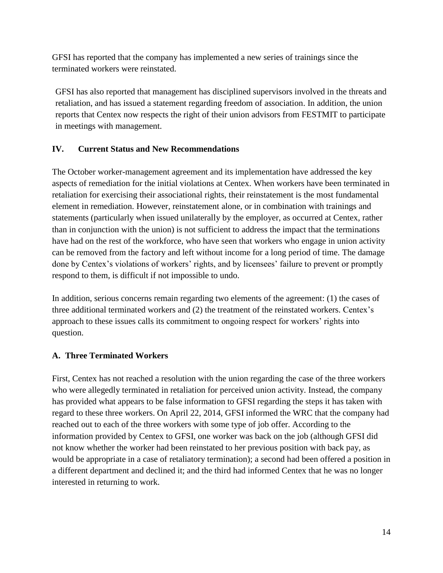GFSI has reported that the company has implemented a new series of trainings since the terminated workers were reinstated.

GFSI has also reported that management has disciplined supervisors involved in the threats and retaliation, and has issued a statement regarding freedom of association. In addition, the union reports that Centex now respects the right of their union advisors from FESTMIT to participate in meetings with management.

#### **IV. Current Status and New Recommendations**

The October worker-management agreement and its implementation have addressed the key aspects of remediation for the initial violations at Centex. When workers have been terminated in retaliation for exercising their associational rights, their reinstatement is the most fundamental element in remediation. However, reinstatement alone, or in combination with trainings and statements (particularly when issued unilaterally by the employer, as occurred at Centex, rather than in conjunction with the union) is not sufficient to address the impact that the terminations have had on the rest of the workforce, who have seen that workers who engage in union activity can be removed from the factory and left without income for a long period of time. The damage done by Centex's violations of workers' rights, and by licensees' failure to prevent or promptly respond to them, is difficult if not impossible to undo.

In addition, serious concerns remain regarding two elements of the agreement: (1) the cases of three additional terminated workers and (2) the treatment of the reinstated workers. Centex's approach to these issues calls its commitment to ongoing respect for workers' rights into question.

#### **A. Three Terminated Workers**

First, Centex has not reached a resolution with the union regarding the case of the three workers who were allegedly terminated in retaliation for perceived union activity. Instead, the company has provided what appears to be false information to GFSI regarding the steps it has taken with regard to these three workers. On April 22, 2014, GFSI informed the WRC that the company had reached out to each of the three workers with some type of job offer. According to the information provided by Centex to GFSI, one worker was back on the job (although GFSI did not know whether the worker had been reinstated to her previous position with back pay, as would be appropriate in a case of retaliatory termination); a second had been offered a position in a different department and declined it; and the third had informed Centex that he was no longer interested in returning to work.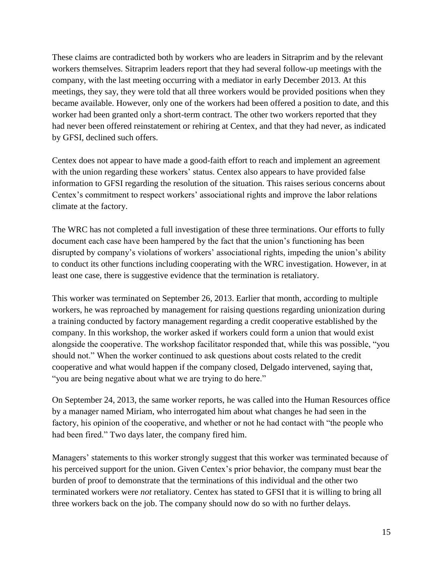These claims are contradicted both by workers who are leaders in Sitraprim and by the relevant workers themselves. Sitraprim leaders report that they had several follow-up meetings with the company, with the last meeting occurring with a mediator in early December 2013. At this meetings, they say, they were told that all three workers would be provided positions when they became available. However, only one of the workers had been offered a position to date, and this worker had been granted only a short-term contract. The other two workers reported that they had never been offered reinstatement or rehiring at Centex, and that they had never, as indicated by GFSI, declined such offers.

Centex does not appear to have made a good-faith effort to reach and implement an agreement with the union regarding these workers' status. Centex also appears to have provided false information to GFSI regarding the resolution of the situation. This raises serious concerns about Centex's commitment to respect workers' associational rights and improve the labor relations climate at the factory.

The WRC has not completed a full investigation of these three terminations. Our efforts to fully document each case have been hampered by the fact that the union's functioning has been disrupted by company's violations of workers' associational rights, impeding the union's ability to conduct its other functions including cooperating with the WRC investigation. However, in at least one case, there is suggestive evidence that the termination is retaliatory.

This worker was terminated on September 26, 2013. Earlier that month, according to multiple workers, he was reproached by management for raising questions regarding unionization during a training conducted by factory management regarding a credit cooperative established by the company. In this workshop, the worker asked if workers could form a union that would exist alongside the cooperative. The workshop facilitator responded that, while this was possible, "you should not." When the worker continued to ask questions about costs related to the credit cooperative and what would happen if the company closed, Delgado intervened, saying that, "you are being negative about what we are trying to do here."

On September 24, 2013, the same worker reports, he was called into the Human Resources office by a manager named Miriam, who interrogated him about what changes he had seen in the factory, his opinion of the cooperative, and whether or not he had contact with "the people who had been fired." Two days later, the company fired him.

Managers' statements to this worker strongly suggest that this worker was terminated because of his perceived support for the union. Given Centex's prior behavior, the company must bear the burden of proof to demonstrate that the terminations of this individual and the other two terminated workers were *not* retaliatory. Centex has stated to GFSI that it is willing to bring all three workers back on the job. The company should now do so with no further delays.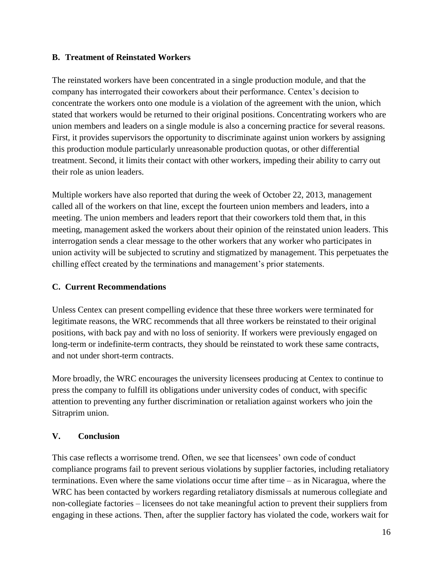#### **B. Treatment of Reinstated Workers**

The reinstated workers have been concentrated in a single production module, and that the company has interrogated their coworkers about their performance. Centex's decision to concentrate the workers onto one module is a violation of the agreement with the union, which stated that workers would be returned to their original positions. Concentrating workers who are union members and leaders on a single module is also a concerning practice for several reasons. First, it provides supervisors the opportunity to discriminate against union workers by assigning this production module particularly unreasonable production quotas, or other differential treatment. Second, it limits their contact with other workers, impeding their ability to carry out their role as union leaders.

Multiple workers have also reported that during the week of October 22, 2013, management called all of the workers on that line, except the fourteen union members and leaders, into a meeting. The union members and leaders report that their coworkers told them that, in this meeting, management asked the workers about their opinion of the reinstated union leaders. This interrogation sends a clear message to the other workers that any worker who participates in union activity will be subjected to scrutiny and stigmatized by management. This perpetuates the chilling effect created by the terminations and management's prior statements.

## **C. Current Recommendations**

Unless Centex can present compelling evidence that these three workers were terminated for legitimate reasons, the WRC recommends that all three workers be reinstated to their original positions, with back pay and with no loss of seniority. If workers were previously engaged on long-term or indefinite-term contracts, they should be reinstated to work these same contracts, and not under short-term contracts.

More broadly, the WRC encourages the university licensees producing at Centex to continue to press the company to fulfill its obligations under university codes of conduct, with specific attention to preventing any further discrimination or retaliation against workers who join the Sitraprim union.

## **V. Conclusion**

This case reflects a worrisome trend. Often, we see that licensees' own code of conduct compliance programs fail to prevent serious violations by supplier factories, including retaliatory terminations. Even where the same violations occur time after time – as in Nicaragua, where the WRC has been contacted by workers regarding retaliatory dismissals at numerous collegiate and non-collegiate factories – licensees do not take meaningful action to prevent their suppliers from engaging in these actions. Then, after the supplier factory has violated the code, workers wait for